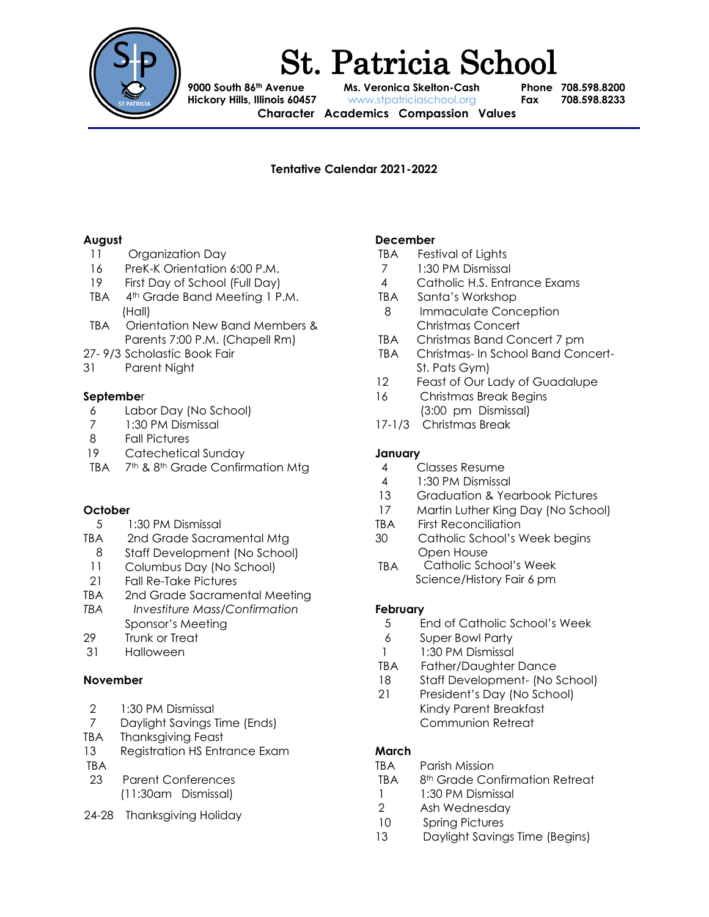

# St. Patricia School

**9000 South 86th Avenue Ms. Veronica Skelton-Cash Phone 708.598.8200 Hickory Hills, Illinois 60457** www.stpatriciaschool.org **Fax 708.598.8233**

**Character Academics Compassion Values**

## **Tentative Calendar 2021-2022**

#### **August**

- 11 Organization Day
- 16 PreK-K Orientation 6:00 P.M.
- 19 First Day of School (Full Day)
- TBA 4th Grade Band Meeting 1 P.M. (Hall)
- TBA Orientation New Band Members & Parents 7:00 P.M. (Chapell Rm)
- 27- 9/3 Scholastic Book Fair
- 31 Parent Night

## **Septembe**r

- 6 Labor Day (No School)
- 7 1:30 PM Dismissal
- 8 Fall Pictures
- 19 Catechetical Sunday
- TBA 7<sup>th</sup> & 8<sup>th</sup> Grade Confirmation Mtg

## **October**

- 5 1:30 PM Dismissal
- TBA 2nd Grade Sacramental Mtg
- 8 Staff Development (No School)
- 11 Columbus Day (No School)
- 21 Fall Re-Take Pictures
- TBA 2nd Grade Sacramental Meeting
- *TBA Investiture Mass/Confirmation*  Sponsor's Meeting
- 29 Trunk or Treat
- 31 Halloween

## **November**

- 2 1:30 PM Dismissal
- 7 Daylight Savings Time (Ends)
- TBA Thanksgiving Feast
- 13 Registration HS Entrance Exam
- TBA
- 23 Parent Conferences (11:30am Dismissal)
- 24-28 Thanksgiving Holiday

## **December**

- TBA Festival of Lights
- 7 1:30 PM Dismissal
- 4 Catholic H.S. Entrance Exams
- TBA Santa's Workshop
- 8 Immaculate Conception Christmas Concert
- TBA Christmas Band Concert 7 pm
- TBA Christmas- In School Band Concert-St. Pats Gym)
- 12 Feast of Our Lady of Guadalupe
- 16 Christmas Break Begins (3:00 pm Dismissal)
- 17-1/3 Christmas Break

## **January**

- 4 Classes Resume
- 4 1:30 PM Dismissal
- 13 Graduation & Yearbook Pictures
- 17 Martin Luther King Day (No School)
- TBA First Reconciliation
- 30 Catholic School's Week begins Open House
- TBA Catholic School's Week Science/History Fair 6 pm

## **February**

- 5 End of Catholic School's Week
- 6 Super Bowl Party
- 1 1:30 PM Dismissal
- TBA Father/Daughter Dance
- 18 Staff Development- (No School)
- 21 President's Day (No School) Kindy Parent Breakfast Communion Retreat

## **March**

- TBA Parish Mission
- TBA 8th Grade Confirmation Retreat
- 1 1:30 PM Dismissal
- 2 Ash Wednesday
- 10 Spring Pictures
- 13 Daylight Savings Time (Begins)